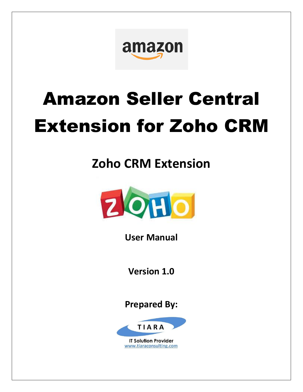

# Amazon Seller Central Extension for Zoho CRM

# **Zoho CRM Extension**



**User Manual**

**Version 1.0**

**Prepared By:**



www.tiaraconsulting.com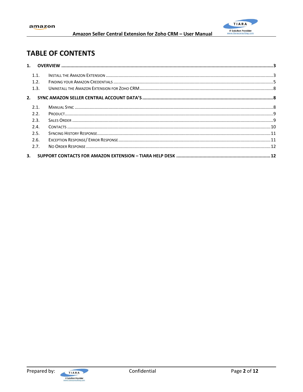

# **TABLE OF CONTENTS**

| 1.1. |  |
|------|--|
| 1.2. |  |
| 1.3. |  |
| 2.   |  |
| 2.1. |  |
| 2.2. |  |
| 2.3. |  |
| 2.4. |  |
| 2.5. |  |
| 2.6. |  |
| 2.7. |  |
|      |  |

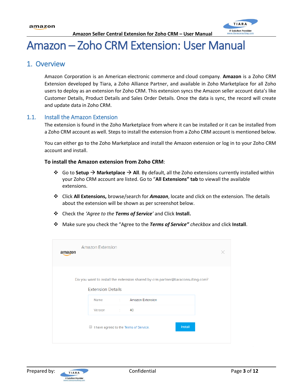

# Amazon – Zoho CRM Extension: User Manual

### <span id="page-2-0"></span>1. Overview

Amazon Corporation is an American electronic commerce and cloud company. **Amazon** is a Zoho CRM Extension developed by Tiara, a Zoho Alliance Partner, and available in Zoho Marketplace for all Zoho users to deploy as an extension for Zoho CRM. This extension syncs the Amazon seller account data's like Customer Details, Product Details and Sales Order Details. Once the data is sync, the record will create and update data in Zoho CRM.

#### <span id="page-2-1"></span>1.1. Install the Amazon Extension

The extension is found in the Zoho Marketplace from where it can be installed or it can be installed from a Zoho CRM account as well. Steps to install the extension from a Zoho CRM account is mentioned below.

You can either go to the Zoho [Marketplace](http://marketplace.zoho.com/crm/shopify) and install the Amazon extension or log in to your Zoho CRM account and install.

#### **To install the Amazon extension from Zoho CRM**:

- ❖ Go to **Setup** → **Marketplace** → **All**. By default, all the Zoho extensions currently installed within your Zoho CRM account are listed. Go to "**All Extensions" tab** to viewall the available extensions.
- ❖ Click **All Extensions,** browse/search for *Amazon*, locate and click on the extension. The details about the extension will be shown as per screenshot below.
- ❖ Check the *'Agree to the Terms of Service'* and Click **Install.**
- ❖ Make sure you check the "Agree to the *Terms of Service" checkbox* and click **Install**.

| amazon | <b>Amazon Extension</b>                                                                                     |         |
|--------|-------------------------------------------------------------------------------------------------------------|---------|
|        | Do you want to install the extension shared by crm.partner@tiaraconsulting.com?<br><b>Extension Details</b> |         |
|        | : Amazon Extension<br>Name                                                                                  |         |
|        | Version : 40                                                                                                |         |
|        | O<br>I have agreed to the Terms of Service.                                                                 | Install |

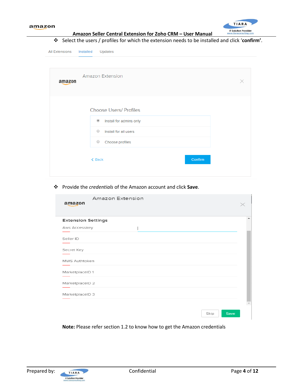

❖ Select the users / profiles for which the extension needs to be installed and click '**confirm'**.

| <b>All Extensions</b> | $\mathbf{\hat{v}}$ Select the users / profiles for which the extension needs to be installed and click 'co<br>Installed<br>Updates |  |
|-----------------------|------------------------------------------------------------------------------------------------------------------------------------|--|
| amazon                | <b>Amazon Extension</b>                                                                                                            |  |
|                       | <b>Choose Users/ Profiles</b><br>$^{\circ}$<br>Install for admins only                                                             |  |
|                       | $\circ$<br>Install for all users<br>$\circ$<br>Choose profiles                                                                     |  |
|                       | Confirm<br>$\leq$ Back                                                                                                             |  |

❖ Provide the *credentials* of the Amazon account and click **Save**.

| Amazon Extension<br>amazon |              |
|----------------------------|--------------|
| <b>Extension Settings</b>  |              |
| Aws Accesskey              |              |
| Seller ID                  |              |
| Secret Key                 |              |
| <b>MWS Authtoken</b>       |              |
| MarketplaceID 1            |              |
| MarketplaceID 2            |              |
| MarketplaceID 3            |              |
|                            |              |
|                            | Save<br>Skip |

**Note:** Please refer section 1.2 to know how to get the Amazon credentials

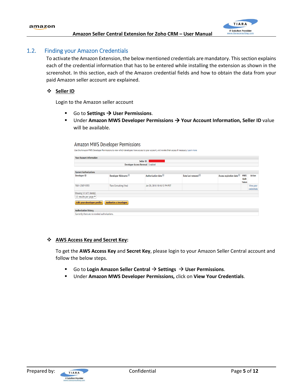

#### <span id="page-4-0"></span>1.2. Finding your Amazon Credentials

To activate the Amazon Extension, the below mentioned credentials are mandatory. This section explains each of the credential information that has to be entered while installing the extension as shown in the screenshot. In this section, each of the Amazon credential fields and how to obtain the data from your paid Amazon seller account are explained.

#### ❖ **Seller ID**

Login to the Amazon seller account

- Go to **Settings** → **User Permissions**.
- Under Amazon MWS Developer Permissions → Your Account Information, Seller ID value will be available.

#### Amazon MWS Developer Permissions

```
Use the Amazon MWS Developer Permissions to view which developers have access to your account, and revoke their access if necessary. Learn more
```

| <b>Your Account Information</b>                                    |                                  |                              |                   |                        |                                    |                          |  |  |
|--------------------------------------------------------------------|----------------------------------|------------------------------|-------------------|------------------------|------------------------------------|--------------------------|--|--|
|                                                                    | Seller ID:                       |                              |                   |                        |                                    |                          |  |  |
|                                                                    | Developer Access Renewal Enabled |                              |                   |                        |                                    |                          |  |  |
|                                                                    |                                  |                              |                   |                        |                                    |                          |  |  |
| <b>Current Authorizations</b>                                      |                                  |                              |                   |                        |                                    |                          |  |  |
| <b>Developer ID</b>                                                | Developer Nickname               | Authorization date           | Date last renewed | Access expiration date | <b>MWS</b><br>Auth<br><b>Token</b> | <b>Action</b>            |  |  |
| 7681-2387-9353                                                     | <b>Tiara Consulting (You)</b>    | Jan 28, 2018 10:16:12 PM PST |                   |                        |                                    | View your<br>credentials |  |  |
| Showing 1-1 of 1 item(s)                                           |                                  |                              |                   |                        |                                    |                          |  |  |
| 10 results per page v                                              |                                  |                              |                   |                        |                                    |                          |  |  |
| <b>Authorize a Developer</b><br><b>Edit your developer profile</b> |                                  |                              |                   |                        |                                    |                          |  |  |
| <b>Authorization history</b>                                       |                                  |                              |                   |                        |                                    |                          |  |  |
| Currently there are no revoked authorizations.                     |                                  |                              |                   |                        |                                    |                          |  |  |

#### ❖ **AWS Access Key and Secret Key:**

To get the **AWS Access Key** and **Secret Key**, please login to your Amazon Seller Central account and follow the below steps.

- Go to **Login Amazon Seller Central** → **Settings** → **User Permissions**.
- Under **Amazon MWS Developer Permissions,** click on **View Your Credentials**.

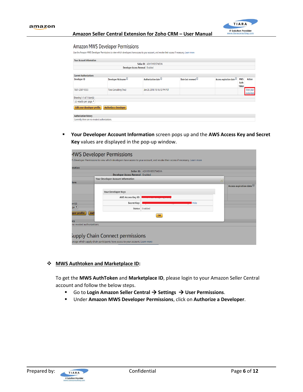

#### Amazon MWS Developer Permissions

Use the Amazon MWS Developer Permissions to view which developers have access to your account, and revoke their access if necessary. Learn more

| <b>Your Account Information</b>                |                               |                                  |                   |                        |                                                     |
|------------------------------------------------|-------------------------------|----------------------------------|-------------------|------------------------|-----------------------------------------------------|
|                                                |                               | Seller ID: A2X13Y83S7WGYA        |                   |                        |                                                     |
|                                                |                               | Developer Access Renewal Enabled |                   |                        |                                                     |
|                                                |                               |                                  |                   |                        |                                                     |
| <b>Current Authorizations</b>                  |                               |                                  |                   |                        |                                                     |
| <b>Developer ID</b>                            | Developer Nickname            | Authorization date               | Date last renewed | Access expiration date | <b>MWS</b><br><b>Action</b><br>Auth<br><b>Token</b> |
| 7681-2387-9353                                 | <b>Tiara Consulting (You)</b> | Jan 28, 2018 10:16:12 PM PST     |                   |                        | View your<br>credentials                            |
| Showing 1-1 of 1 item(s)                       |                               |                                  |                   |                        |                                                     |
| 10 results per page v                          |                               |                                  |                   |                        |                                                     |
| Edit your developer profile                    | <b>Authorize a Developer</b>  |                                  |                   |                        |                                                     |
| <b>Authorization history</b>                   |                               |                                  |                   |                        |                                                     |
| Currently there are no revoked authorizations. |                               |                                  |                   |                        |                                                     |

▪ **Your Developer Account Information** screen pops up and the **AWS Access Key and Secret Key** values are displayed in the pop-up window.

| mation                                   |                                    | Seller ID: A2X13Y83S7WGYA |                        |
|------------------------------------------|------------------------------------|---------------------------|------------------------|
|                                          | Developer Access Renewal Enabled   |                           |                        |
| ions                                     | Your Developer Account Information | $\overline{\mathbf{x}}$   |                        |
|                                          | Your Developer Keys                |                           | Access expiration date |
|                                          | AWS Access Key ID:                 |                           |                        |
| em(s)                                    | Secret Key:                        | <b>Hide</b>               |                        |
| ge ▼                                     | <b>Status</b>                      | Enabled                   |                        |
| per profile                              | Aut                                | OK                        |                        |
| <b>Dry</b><br>no revoked authorizations. |                                    |                           |                        |
|                                          |                                    |                           |                        |

#### ❖ **MWS Authtoken and Marketplace ID:**

To get the **MWS AuthToken** and **Marketplace ID**, please login to your Amazon Seller Central account and follow the below steps.

- Go to Login Amazon Seller Central → Settings → User Permissions.
- Under **Amazon MWS Developer Permissions**, click on **Authorize a Developer**.

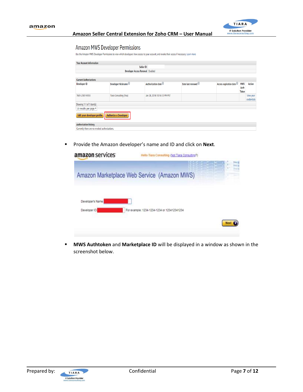

#### Amazon MWS Developer Permissions

Use the Amazon MWS Developer Permissions to view which developers have access to your account, and revoke their access if necessary. Learn more

| <b>Your Account Information</b>                      |                                  |                                  |                   |                        |                                              |
|------------------------------------------------------|----------------------------------|----------------------------------|-------------------|------------------------|----------------------------------------------|
|                                                      |                                  | Seller ID:                       |                   |                        |                                              |
|                                                      |                                  | Developer Access Renewal Enabled |                   |                        |                                              |
|                                                      |                                  |                                  |                   |                        |                                              |
| <b>Current Authorizations</b>                        |                                  |                                  |                   |                        |                                              |
| Developer ID                                         | Developer Nickname <sup>12</sup> | Authorization date               | Date last renewed | Access expiration date | <b>MWS</b><br>Action<br>Auth<br><b>Token</b> |
| 7681-2387-9353                                       | <b>Tiara Consulting (You)</b>    | Jan 28, 2018 10:16:12 PM PST     |                   |                        | View your<br>credentials                     |
| Showing 1-1 of 1 item(s)                             |                                  |                                  |                   |                        |                                              |
| 10 results per page v<br>Edit your developer profile | <b>Authorize a Developer</b>     |                                  |                   |                        |                                              |
| <b>Authorization history</b>                         |                                  |                                  |                   |                        |                                              |
| Currently there are no revoked authorizations.       |                                  |                                  |                   |                        |                                              |

▪ Provide the Amazon developer's name and ID and click on **Next**.

| amazon services   | Hello Tisra Consulting (Not Tiara Consulting?) |  |
|-------------------|------------------------------------------------|--|
|                   |                                                |  |
|                   | Amazon Marketplace Web Service (Amazon MWS)    |  |
| Developer's Name: |                                                |  |
| Developer ID:     | For example: 1234-1234-1234 or 123412341234    |  |
|                   |                                                |  |
|                   |                                                |  |

▪ **MWS Authtoken** and **Marketplace ID** will be displayed in a window as shown in the screenshot below.

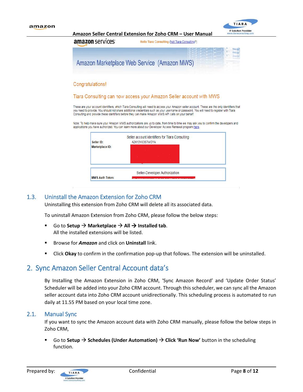

**Amazon Seller Central Extension for Zoho CRM – User Manual** amazon services Hello Tiara Consulting (Not Tiara Consulting?) Amazon Marketplace Web Service (Amazon MWS) Congratulations! Tiara Consulting can now access your Amazon Seller account with MWS These are your account identifiers, which Tiara Consulting will need to access your Amazon seller account. These are the only identifiers that you need to provide. You should not share additional credentials such as your username or password. You will need to register with Tiara Consulting and provide these identifiers before they can make Amazon MWS API calls on your behalf. Note: To help make sure your Amazon MWS authorizations are up to date, from time to time we may ask you to confirm the developers and applications you have authorized. You can learn more about our Developer Access Renewal program here. Seller account identifiers for Tiara Consulting



#### <span id="page-7-0"></span>1.3. Uninstall the Amazon Extension for Zoho CRM

Uninstalling this extension from Zoho CRM will delete all its associated data.

To uninstall Amazon Extension from Zoho CRM, please follow the below steps:

- Go to **Setup**  $\rightarrow$  **Marketplace**  $\rightarrow$  All  $\rightarrow$  **Installed tab**. All the installed extensions will be listed.
- Browse for *Amazon* and click on **Uninstall** link.
- Click **Okay** to confirm in the confirmation pop-up that follows. The extension will be uninstalled.

### <span id="page-7-1"></span>2. Sync Amazon Seller Central Account data's

By Installing the Amazon Extension in Zoho CRM, 'Sync Amazon Record' and 'Update Order Status' Scheduler will be added into your Zoho CRM account. Through this scheduler, we can sync all the Amazon seller account data into Zoho CRM account unidirectionally. This scheduling process is automated to run daily at 11.55 PM based on your local time zone.

#### <span id="page-7-2"></span>2.1. Manual Sync

If you want to sync the Amazon account data with Zoho CRM manually, please follow the below steps in Zoho CRM,

Go to Setup → Schedules (Under Automation) → Click 'Run Now' button in the scheduling function.

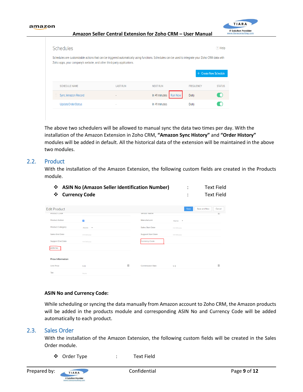

The above two schedulers will be allowed to manual sync the data two times per day. With the installation of the Amazon Extension in Zoho CRM, **"Amazon Sync History"** and **"Order History"** modules will be added in default. All the historical data of the extension will be maintained in the above two modules.

#### <span id="page-8-0"></span>2.2. Product

With the installation of the Amazon Extension, the following custom fields are created in the Products module.

| ❖<br>❖                  | <b>ASIN No (Amazon Seller Identification Number)</b><br><b>Currency Code</b> | ٠<br>٠                    | <b>Text Field</b><br><b>Text Field</b> |                        |
|-------------------------|------------------------------------------------------------------------------|---------------------------|----------------------------------------|------------------------|
| <b>Edit Product</b>     |                                                                              |                           | Save                                   | Save and New<br>Cancel |
| <b>Product Code</b>     |                                                                              | vengor <sub>Name</sub>    |                                        | 图                      |
| <b>Product Active</b>   | $\checkmark$                                                                 | Manufacturer              | -None- $\overline{\phantom{a}}$        |                        |
| <b>Product Category</b> | -None- $\overline{\phantom{a}}$                                              | <b>Sales Start Date</b>   | mm/dd/yyyy                             |                        |
| Sales End Date          | mm/dd/yyyy                                                                   | <b>Support Start Date</b> | mm/dd/ww                               |                        |
| <b>Support End Date</b> | mm/dd/yyyy                                                                   | <b>Currency Code</b>      |                                        |                        |
| <b>ASIN NO</b>          |                                                                              |                           |                                        |                        |
|                         |                                                                              |                           |                                        |                        |

Commission Rate

 $\boxplus$ 

| <b>ASIN No and Currency Code:</b> |  |
|-----------------------------------|--|

 $$0$ 

While scheduling or syncing the data manually from Amazon account to Zoho CRM, the Amazon products will be added in the products module and corresponding ASIN No and Currency Code will be added automatically to each product.

 $\hat{S}$  0

#### <span id="page-8-1"></span>2.3. Sales Order

**Price Information** 

**Unit Price** 

Tay

With the installation of the Amazon Extension, the following custom fields will be created in the Sales Order module.

❖ Order Type : Text Field

 $\mathbb{R}$ 

TIARA

**IT Solution Provider** v.tiaraco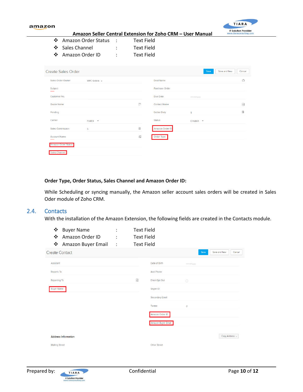

- ❖ Amazon Order Status : Text Field
- ❖ Sales Channel : Text Field
- ❖ Amazon Order ID : Text Field

| <b>Create Sales Order</b>  |                       |   |                       | Save                    | Save and New | Cancel     |
|----------------------------|-----------------------|---|-----------------------|-------------------------|--------------|------------|
| Sales Order Owner          | MPC Gokila -          |   | Deal Name             |                         |              | Ĝ          |
| Subject                    |                       |   | <b>Purchase Order</b> |                         |              |            |
| Customer No.               |                       |   | Due Date              | mm/dd/yyyy              |              |            |
| Quote Name                 |                       | B | <b>Contact Name</b>   |                         |              | 郾          |
| Pending                    |                       |   | <b>Excise Duty</b>    | \$                      |              | $\boxplus$ |
| Carrier                    | $FedEX$ $\rightarrow$ |   | <b>Status</b>         | $Create \triangleright$ |              |            |
| <b>Sales Commission</b>    | \$                    | 圖 | Amazon Order ID       |                         |              |            |
| <b>Account Name</b>        |                       | 醌 | Order Type            |                         |              |            |
| <b>Amazon Order Status</b> |                       |   |                       |                         |              |            |
| Sales Channel              |                       |   |                       |                         |              |            |

#### **Order Type, Order Status, Sales Channel and Amazon Order ID:**

While Scheduling or syncing manually, the Amazon seller account sales orders will be created in Sales Oder module of Zoho CRM.

#### <span id="page-9-0"></span>2.4. Contacts

With the installation of the Amazon Extension, the following fields are created in the Contacts module.

| ❖<br><b>Buyer Name</b><br>$\frac{1}{2}$<br>Amazon Order ID<br>$\frac{1}{2}$<br>Amazon Buyer Email | $\ddot{\phantom{a}}$<br>$\ddot{\phantom{a}}$ | <b>Text Field</b><br><b>Text Field</b><br><b>Text Field</b> |                           |                |                |        |
|---------------------------------------------------------------------------------------------------|----------------------------------------------|-------------------------------------------------------------|---------------------------|----------------|----------------|--------|
| <b>Create Contact</b>                                                                             |                                              |                                                             |                           | Save           | Save and New   | Cancel |
| Assistant                                                                                         |                                              |                                                             | Date of Birth             | mm/dd/yyyy     |                |        |
| <b>Reports To</b>                                                                                 |                                              |                                                             | <b>Asst Phone</b>         |                |                |        |
| Reporting To                                                                                      |                                              | $\mathbb{R}$                                                | <b>Email Opt Out</b>      | П              |                |        |
| <b>Buyer Name</b>                                                                                 |                                              |                                                             | Skype ID                  |                |                |        |
|                                                                                                   |                                              |                                                             | <b>Secondary Email</b>    |                |                |        |
|                                                                                                   |                                              |                                                             | Twitter                   | $\circledcirc$ |                |        |
|                                                                                                   |                                              |                                                             | Amazon Order ID           |                |                |        |
|                                                                                                   |                                              |                                                             | <b>Amazon Buyer Email</b> |                |                |        |
| <b>Address Information</b>                                                                        |                                              |                                                             |                           |                | Copy Address v |        |
| <b>Mailing Street</b>                                                                             |                                              |                                                             | <b>Other Street</b>       |                |                |        |

**IT Solution Provider**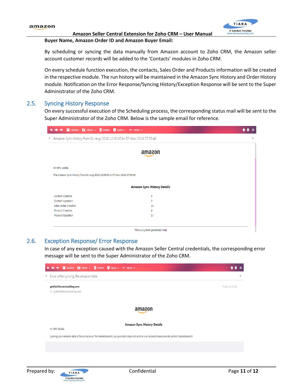

#### **Amazon Seller Central Extension for Zoho CRM – User Manual Buyer Name, Amazon Order ID and Amazon Buyer Email:**

By scheduling or syncing the data manually from Amazon account to Zoho CRM, the Amazon seller account customer records will be added to the 'Contacts' modules in Zoho CRM.

On every schedule function execution, the contacts, Sales Order and Products information will be created in the respective module. The run history will be maintained in the Amazon Sync History and Order History module. Notification on the Error Response/Syncing History/Exception Response will be sent to the Super Administrator of the Zoho CRM.

#### <span id="page-10-0"></span>2.5. Syncing History Response

On every successful execution of the Scheduling process, the corresponding status mail will be sent to the Super Administrator of the Zoho CRM. Below is the sample email for reference.

| ← ← → ■ Archive ■ Move > ■ Delete ■ Spam > ••• More >                      |                                    |  |  |
|----------------------------------------------------------------------------|------------------------------------|--|--|
| Amazon Sync History from 01-Aug-2018 12:00:00 to 07-Nov-2018 07:35:46      |                                    |  |  |
|                                                                            | amazon                             |  |  |
| Hi MPC Gokila,                                                             |                                    |  |  |
| The Amazon Sync History from 01-Aug-2018 12:00:00 to 07-Nov-2018 07:35:46. |                                    |  |  |
|                                                                            | <b>Amazon Sync History Details</b> |  |  |
| <b>Contact Creation</b>                                                    | 5                                  |  |  |
| <b>Contact Updation</b>                                                    | $\mathbf{0}$                       |  |  |
| Sales Order Creation                                                       | 22                                 |  |  |
| <b>Product Creation</b>                                                    | 4                                  |  |  |
| Product Updation                                                           | 17                                 |  |  |
|                                                                            |                                    |  |  |
| This is a system generated mail                                            |                                    |  |  |

#### <span id="page-10-1"></span>2.6. Exception Response/ Error Response

In case of any exception caused with the Amazon Seller Central credentials, the corresponding error message will be sent to the Super Administrator of the Zoho CRM.